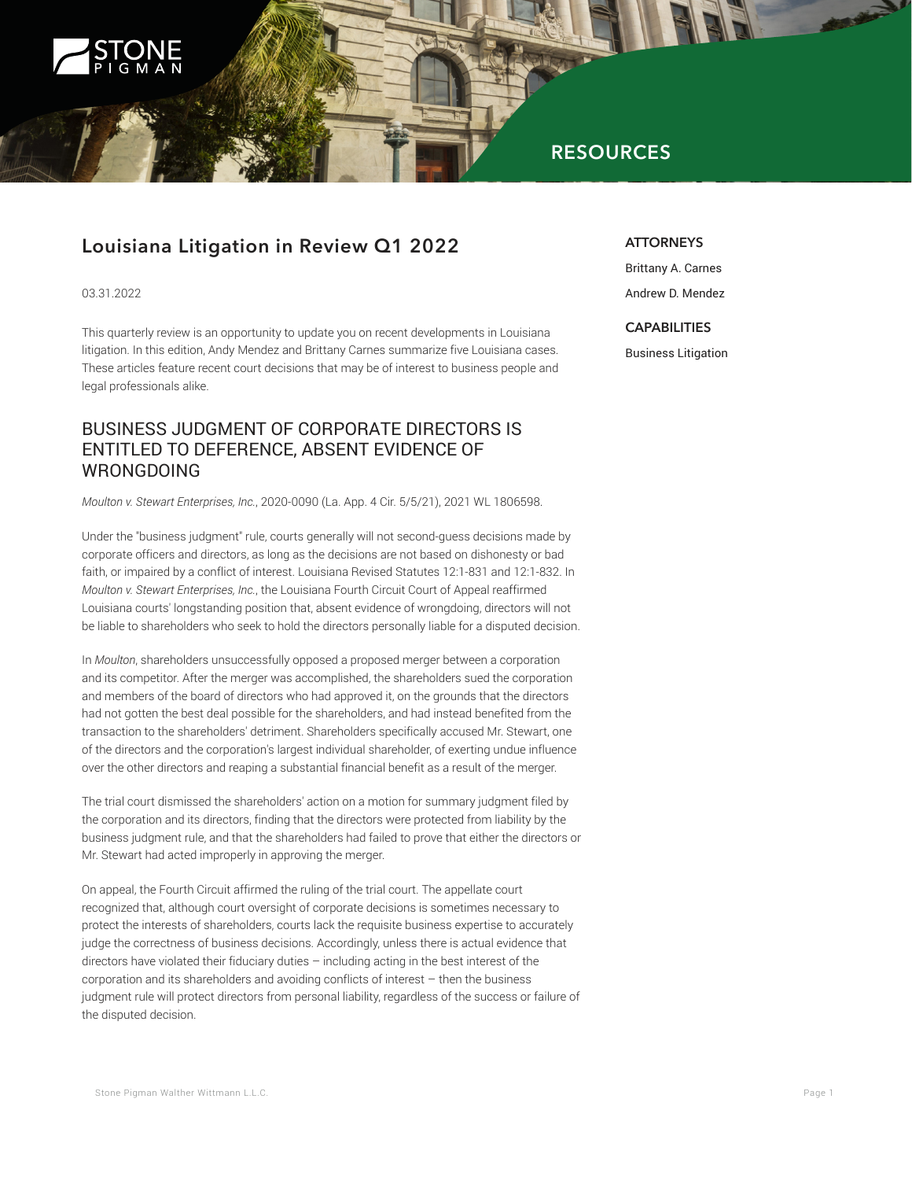

# **RESOURCES**

## **Louisiana Litigation in Review Q1 2022**

03.31.2022

This quarterly review is an opportunity to update you on recent developments in Louisiana litigation. In this edition, Andy Mendez and Brittany Carnes summarize five Louisiana cases. These articles feature recent court decisions that may be of interest to business people and legal professionals alike.

### BUSINESS JUDGMENT OF CORPORATE DIRECTORS IS ENTITLED TO DEFERENCE, ABSENT EVIDENCE OF WRONGDOING

*Moulton v. Stewart Enterprises, Inc.*, 2020-0090 (La. App. 4 Cir. 5/5/21), 2021 WL 1806598.

Under the "business judgment" rule, courts generally will not second-guess decisions made by corporate officers and directors, as long as the decisions are not based on dishonesty or bad faith, or impaired by a conflict of interest. Louisiana Revised Statutes 12:1-831 and 12:1-832. In *Moulton v. Stewart Enterprises, Inc.*, the Louisiana Fourth Circuit Court of Appeal reaffirmed Louisiana courts' longstanding position that, absent evidence of wrongdoing, directors will not be liable to shareholders who seek to hold the directors personally liable for a disputed decision.

In *Moulton*, shareholders unsuccessfully opposed a proposed merger between a corporation and its competitor. After the merger was accomplished, the shareholders sued the corporation and members of the board of directors who had approved it, on the grounds that the directors had not gotten the best deal possible for the shareholders, and had instead benefited from the transaction to the shareholders' detriment. Shareholders specifically accused Mr. Stewart, one of the directors and the corporation's largest individual shareholder, of exerting undue influence over the other directors and reaping a substantial financial benefit as a result of the merger.

The trial court dismissed the shareholders' action on a motion for summary judgment filed by the corporation and its directors, finding that the directors were protected from liability by the business judgment rule, and that the shareholders had failed to prove that either the directors or Mr. Stewart had acted improperly in approving the merger.

On appeal, the Fourth Circuit affirmed the ruling of the trial court. The appellate court recognized that, although court oversight of corporate decisions is sometimes necessary to protect the interests of shareholders, courts lack the requisite business expertise to accurately judge the correctness of business decisions. Accordingly, unless there is actual evidence that directors have violated their fiduciary duties – including acting in the best interest of the corporation and its shareholders and avoiding conflicts of interest – then the business judgment rule will protect directors from personal liability, regardless of the success or failure of the disputed decision.

#### **ATTORNEYS**

Brittany A. Carnes Andrew D. Mendez

#### **CAPABILITIES**

Business Litigation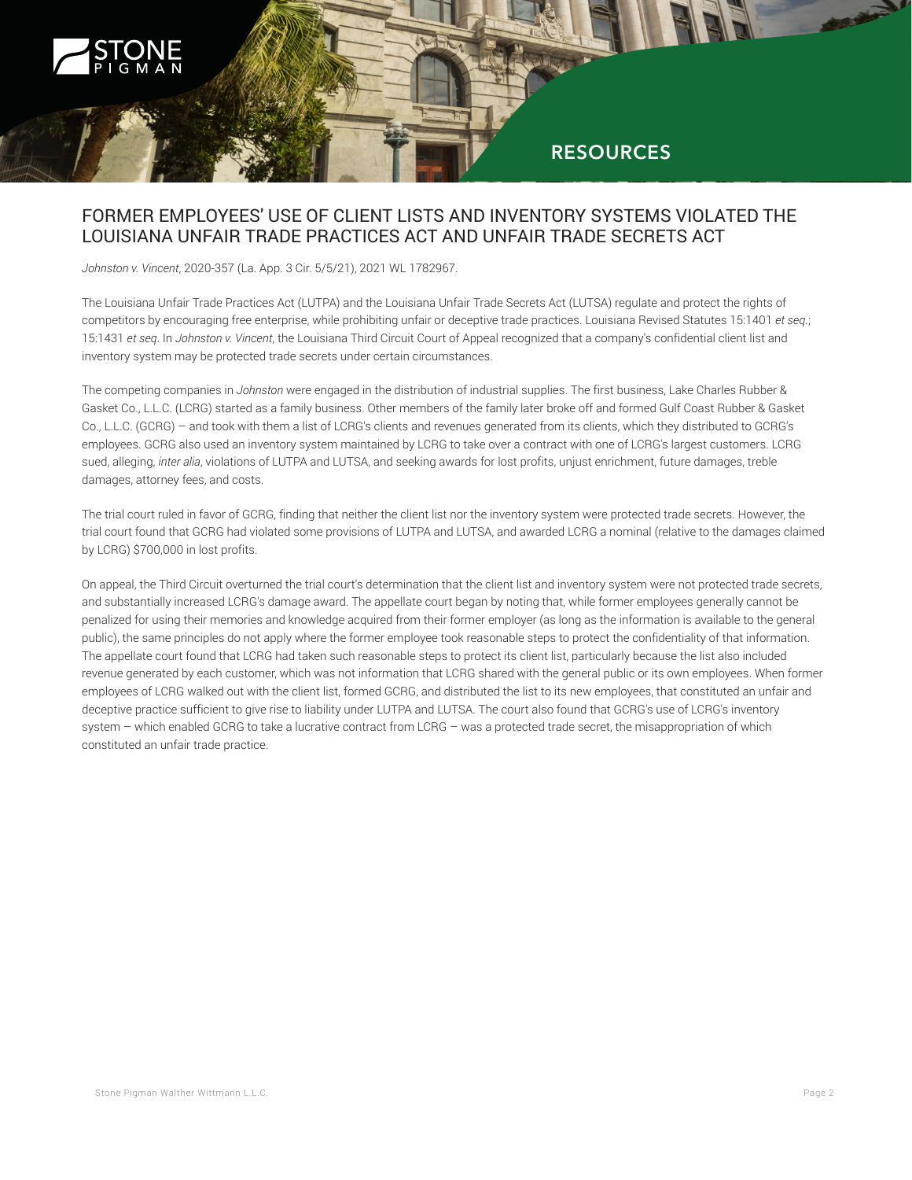

### FORMER EMPLOYEES' USE OF CLIENT LISTS AND INVENTORY SYSTEMS VIOLATED THE LOUISIANA UNFAIR TRADE PRACTICES ACT AND UNFAIR TRADE SECRETS ACT

*Johnston v. Vincent*, 2020-357 (La. App. 3 Cir. 5/5/21), 2021 WL 1782967.

The Louisiana Unfair Trade Practices Act (LUTPA) and the Louisiana Unfair Trade Secrets Act (LUTSA) regulate and protect the rights of competitors by encouraging free enterprise, while prohibiting unfair or deceptive trade practices. Louisiana Revised Statutes 15:1401 *et seq*.; 15:1431 *et seq*. In *Johnston v. Vincent*, the Louisiana Third Circuit Court of Appeal recognized that a company's confidential client list and inventory system may be protected trade secrets under certain circumstances.

The competing companies in *Johnston* were engaged in the distribution of industrial supplies. The first business, Lake Charles Rubber & Gasket Co., L.L.C. (LCRG) started as a family business. Other members of the family later broke off and formed Gulf Coast Rubber & Gasket Co., L.L.C. (GCRG) – and took with them a list of LCRG's clients and revenues generated from its clients, which they distributed to GCRG's employees. GCRG also used an inventory system maintained by LCRG to take over a contract with one of LCRG's largest customers. LCRG sued, alleging, *inter alia*, violations of LUTPA and LUTSA, and seeking awards for lost profits, unjust enrichment, future damages, treble damages, attorney fees, and costs.

The trial court ruled in favor of GCRG, finding that neither the client list nor the inventory system were protected trade secrets. However, the trial court found that GCRG had violated some provisions of LUTPA and LUTSA, and awarded LCRG a nominal (relative to the damages claimed by LCRG) \$700,000 in lost profits.

On appeal, the Third Circuit overturned the trial court's determination that the client list and inventory system were not protected trade secrets, and substantially increased LCRG's damage award. The appellate court began by noting that, while former employees generally cannot be penalized for using their memories and knowledge acquired from their former employer (as long as the information is available to the general public), the same principles do not apply where the former employee took reasonable steps to protect the confidentiality of that information. The appellate court found that LCRG had taken such reasonable steps to protect its client list, particularly because the list also included revenue generated by each customer, which was not information that LCRG shared with the general public or its own employees. When former employees of LCRG walked out with the client list, formed GCRG, and distributed the list to its new employees, that constituted an unfair and deceptive practice sufficient to give rise to liability under LUTPA and LUTSA. The court also found that GCRG's use of LCRG's inventory system – which enabled GCRG to take a lucrative contract from LCRG – was a protected trade secret, the misappropriation of which constituted an unfair trade practice.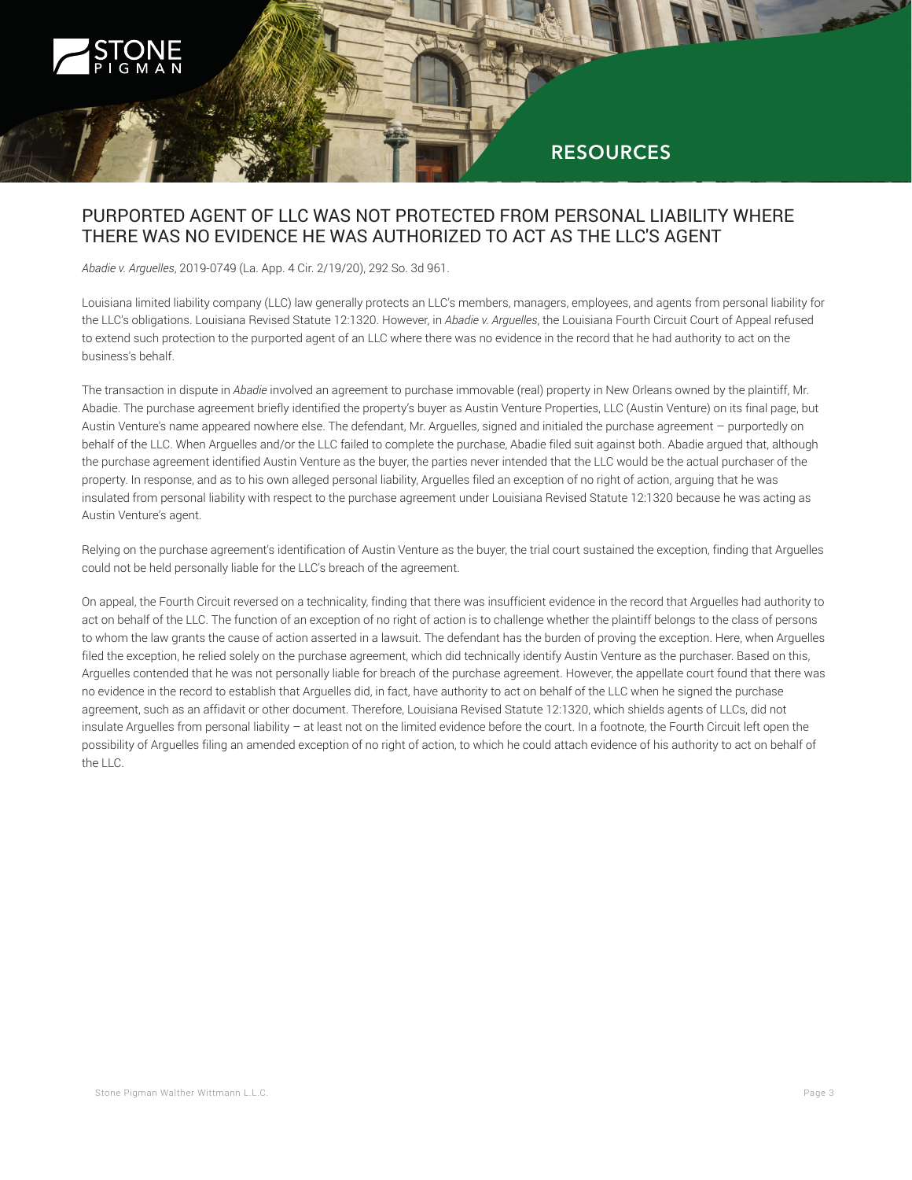

#### PURPORTED AGENT OF LLC WAS NOT PROTECTED FROM PERSONAL LIABILITY WHERE THERE WAS NO EVIDENCE HE WAS AUTHORIZED TO ACT AS THE LLC'S AGENT

*Abadie v. Arguelles*, 2019-0749 (La. App. 4 Cir. 2/19/20), 292 So. 3d 961.

Louisiana limited liability company (LLC) law generally protects an LLC's members, managers, employees, and agents from personal liability for the LLC's obligations. Louisiana Revised Statute 12:1320. However, in *Abadie v. Arguelles*, the Louisiana Fourth Circuit Court of Appeal refused to extend such protection to the purported agent of an LLC where there was no evidence in the record that he had authority to act on the business's behalf.

The transaction in dispute in *Abadie* involved an agreement to purchase immovable (real) property in New Orleans owned by the plaintiff, Mr. Abadie. The purchase agreement briefly identified the property's buyer as Austin Venture Properties, LLC (Austin Venture) on its final page, but Austin Venture's name appeared nowhere else. The defendant, Mr. Arguelles, signed and initialed the purchase agreement – purportedly on behalf of the LLC. When Arguelles and/or the LLC failed to complete the purchase, Abadie filed suit against both. Abadie argued that, although the purchase agreement identified Austin Venture as the buyer, the parties never intended that the LLC would be the actual purchaser of the property. In response, and as to his own alleged personal liability, Arguelles filed an exception of no right of action, arguing that he was insulated from personal liability with respect to the purchase agreement under Louisiana Revised Statute 12:1320 because he was acting as Austin Venture's agent.

Relying on the purchase agreement's identification of Austin Venture as the buyer, the trial court sustained the exception, finding that Arguelles could not be held personally liable for the LLC's breach of the agreement.

On appeal, the Fourth Circuit reversed on a technicality, finding that there was insufficient evidence in the record that Arguelles had authority to act on behalf of the LLC. The function of an exception of no right of action is to challenge whether the plaintiff belongs to the class of persons to whom the law grants the cause of action asserted in a lawsuit. The defendant has the burden of proving the exception. Here, when Arguelles filed the exception, he relied solely on the purchase agreement, which did technically identify Austin Venture as the purchaser. Based on this, Arguelles contended that he was not personally liable for breach of the purchase agreement. However, the appellate court found that there was no evidence in the record to establish that Arguelles did, in fact, have authority to act on behalf of the LLC when he signed the purchase agreement, such as an affidavit or other document. Therefore, Louisiana Revised Statute 12:1320, which shields agents of LLCs, did not insulate Arguelles from personal liability – at least not on the limited evidence before the court. In a footnote, the Fourth Circuit left open the possibility of Arguelles filing an amended exception of no right of action, to which he could attach evidence of his authority to act on behalf of the LLC.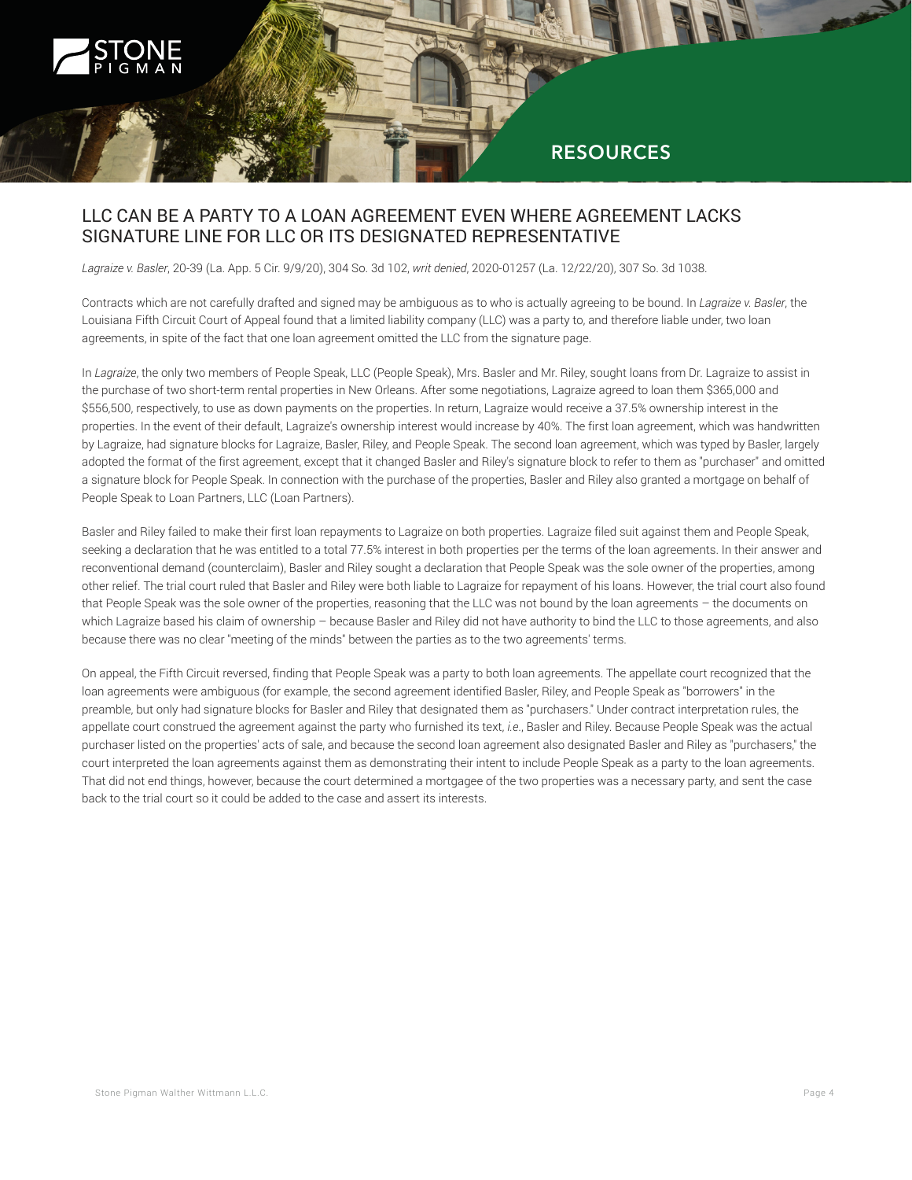

### **RESOURCES**

### LLC CAN BE A PARTY TO A LOAN AGREEMENT EVEN WHERE AGREEMENT LACKS SIGNATURE LINE FOR LLC OR ITS DESIGNATED REPRESENTATIVE

*Lagraize v. Basler*, 20-39 (La. App. 5 Cir. 9/9/20), 304 So. 3d 102, *writ denied*, 2020-01257 (La. 12/22/20), 307 So. 3d 1038.

Contracts which are not carefully drafted and signed may be ambiguous as to who is actually agreeing to be bound. In *Lagraize v. Basler*, the Louisiana Fifth Circuit Court of Appeal found that a limited liability company (LLC) was a party to, and therefore liable under, two loan agreements, in spite of the fact that one loan agreement omitted the LLC from the signature page.

In *Lagraize*, the only two members of People Speak, LLC (People Speak), Mrs. Basler and Mr. Riley, sought loans from Dr. Lagraize to assist in the purchase of two short-term rental properties in New Orleans. After some negotiations, Lagraize agreed to loan them \$365,000 and \$556,500, respectively, to use as down payments on the properties. In return, Lagraize would receive a 37.5% ownership interest in the properties. In the event of their default, Lagraize's ownership interest would increase by 40%. The first loan agreement, which was handwritten by Lagraize, had signature blocks for Lagraize, Basler, Riley, and People Speak. The second loan agreement, which was typed by Basler, largely adopted the format of the first agreement, except that it changed Basler and Riley's signature block to refer to them as "purchaser" and omitted a signature block for People Speak. In connection with the purchase of the properties, Basler and Riley also granted a mortgage on behalf of People Speak to Loan Partners, LLC (Loan Partners).

Basler and Riley failed to make their first loan repayments to Lagraize on both properties. Lagraize filed suit against them and People Speak, seeking a declaration that he was entitled to a total 77.5% interest in both properties per the terms of the loan agreements. In their answer and reconventional demand (counterclaim), Basler and Riley sought a declaration that People Speak was the sole owner of the properties, among other relief. The trial court ruled that Basler and Riley were both liable to Lagraize for repayment of his loans. However, the trial court also found that People Speak was the sole owner of the properties, reasoning that the LLC was not bound by the loan agreements – the documents on which Lagraize based his claim of ownership – because Basler and Riley did not have authority to bind the LLC to those agreements, and also because there was no clear "meeting of the minds" between the parties as to the two agreements' terms.

On appeal, the Fifth Circuit reversed, finding that People Speak was a party to both loan agreements. The appellate court recognized that the loan agreements were ambiguous (for example, the second agreement identified Basler, Riley, and People Speak as "borrowers" in the preamble, but only had signature blocks for Basler and Riley that designated them as "purchasers." Under contract interpretation rules, the appellate court construed the agreement against the party who furnished its text, *i.e*., Basler and Riley. Because People Speak was the actual purchaser listed on the properties' acts of sale, and because the second loan agreement also designated Basler and Riley as "purchasers," the court interpreted the loan agreements against them as demonstrating their intent to include People Speak as a party to the loan agreements. That did not end things, however, because the court determined a mortgagee of the two properties was a necessary party, and sent the case back to the trial court so it could be added to the case and assert its interests.